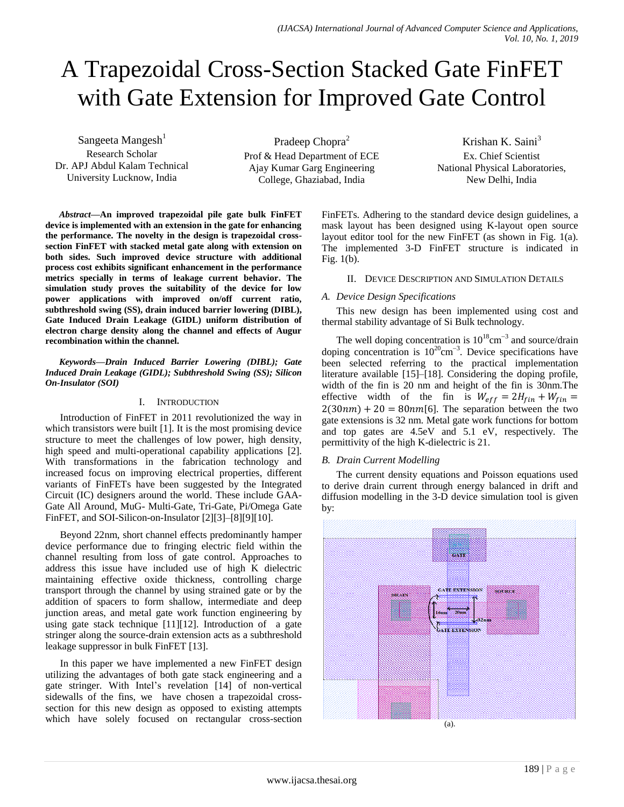# A Trapezoidal Cross-Section Stacked Gate FinFET with Gate Extension for Improved Gate Control

Sangeeta Mangesh $<sup>1</sup>$ </sup> Research Scholar Dr. APJ Abdul Kalam Technical University Lucknow, India

Pradeep Chopra<sup>2</sup> Prof & Head Department of ECE Ajay Kumar Garg Engineering College, Ghaziabad, India

Krishan K. Saini $3$ Ex. Chief Scientist National Physical Laboratories, New Delhi, India

*Abstract***—An improved trapezoidal pile gate bulk FinFET device is implemented with an extension in the gate for enhancing the performance. The novelty in the design is trapezoidal crosssection FinFET with stacked metal gate along with extension on both sides. Such improved device structure with additional process cost exhibits significant enhancement in the performance metrics specially in terms of leakage current behavior. The simulation study proves the suitability of the device for low power applications with improved on/off current ratio, subthreshold swing (SS), drain induced barrier lowering (DIBL), Gate Induced Drain Leakage (GIDL) uniform distribution of electron charge density along the channel and effects of Augur recombination within the channel.**

*Keywords—Drain Induced Barrier Lowering (DIBL); Gate Induced Drain Leakage (GIDL); Subthreshold Swing (SS); Silicon On-Insulator (SOI)*

## I. INTRODUCTION

Introduction of FinFET in 2011 revolutionized the way in which transistors were built [1]. It is the most promising device structure to meet the challenges of low power, high density, high speed and multi-operational capability applications [2]. With transformations in the fabrication technology and increased focus on improving electrical properties, different variants of FinFETs have been suggested by the Integrated Circuit (IC) designers around the world. These include GAA-Gate All Around, MuG- Multi-Gate, Tri-Gate, Pi/Omega Gate FinFET, and SOI-Silicon-on-Insulator [2][3]–[8][9][10].

Beyond 22nm, short channel effects predominantly hamper device performance due to fringing electric field within the channel resulting from loss of gate control. Approaches to address this issue have included use of high  $K$  dielectric maintaining effective oxide thickness, controlling charge transport through the channel by using strained gate or by the addition of spacers to form shallow, intermediate and deep junction areas, and metal gate work function engineering by using gate stack technique [11][12]. Introduction of a gate stringer along the source-drain extension acts as a subthreshold leakage suppressor in bulk FinFET [13].

In this paper we have implemented a new FinFET design utilizing the advantages of both gate stack engineering and a gate stringer. With Intel's revelation [14] of non-vertical sidewalls of the fins, we have chosen a trapezoidal crosssection for this new design as opposed to existing attempts which have solely focused on rectangular cross-section FinFETs. Adhering to the standard device design guidelines, a mask layout has been designed using K-layout open source layout editor tool for the new FinFET (as shown in Fig. 1(a). The implemented 3-D FinFET structure is indicated in Fig. 1(b).

#### II. DEVICE DESCRIPTION AND SIMULATION DETAILS

#### *A. Device Design Specifications*

This new design has been implemented using cost and thermal stability advantage of Si Bulk technology.

The well doping concentration is  $10^{18}$ cm<sup>-3</sup> and source/drain doping concentration is  $10^{20}$ cm<sup>-3</sup>. Device specifications have been selected referring to the practical implementation literature available [15]–[18]. Considering the doping profile, width of the fin is 20 nm and height of the fin is 30nm.The effective width of the fin is  $W_{eff} = 2H_{fin} + W_{fin} =$  $2(30nm) + 20 = 80nm[6]$ . The separation between the two gate extensions is 32 nm. Metal gate work functions for bottom and top gates are 4.5eV and 5.1 eV, respectively. The permittivity of the high K-dielectric is 21.

## *B. Drain Current Modelling*

The current density equations and Poisson equations used to derive drain current through energy balanced in drift and diffusion modelling in the 3-D device simulation tool is given by:

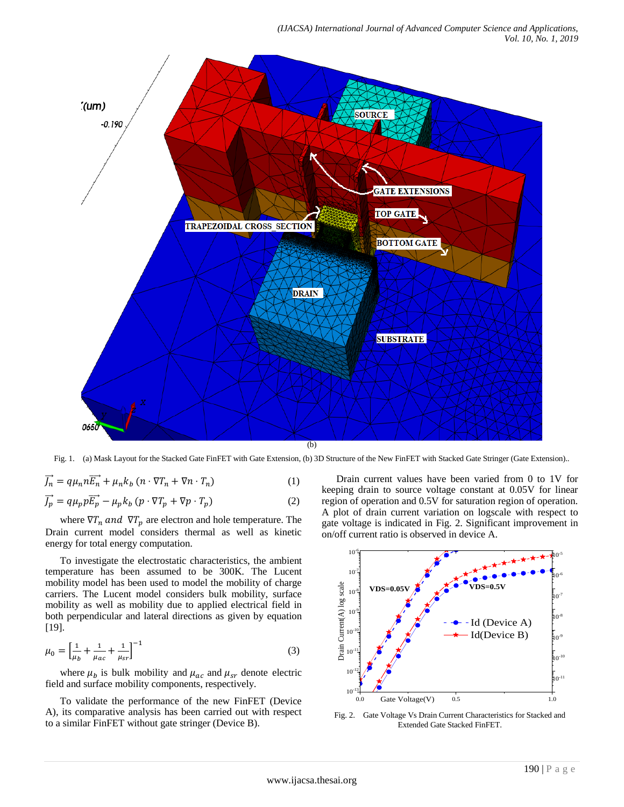

Fig. 1. (a) Mask Layout for the Stacked Gate FinFET with Gate Extension, (b) 3D Structure of the New FinFET with Stacked Gate Stringer (Gate Extension)..

$$
\overrightarrow{J_n} = q\mu_n n \overrightarrow{E_n} + \mu_n k_b (n \cdot \nabla T_n + \nabla n \cdot T_n)
$$
\n(1)

$$
\overrightarrow{J_p} = q\mu_p p \overrightarrow{E_p} - \mu_p k_b (p \cdot \nabla T_p + \nabla p \cdot T_p)
$$
 (2)

where  $\nabla T_n$  and  $\nabla T_p$  are electron and hole temperature. The Drain current model considers thermal as well as kinetic energy for total energy computation.

To investigate the electrostatic characteristics, the ambient temperature has been assumed to be 300K. The Lucent mobility model has been used to model the mobility of charge carriers. The Lucent model considers bulk mobility, surface mobility as well as mobility due to applied electrical field in both perpendicular and lateral directions as given by equation [19].

$$
\mu_0 = \left[\frac{1}{\mu_b} + \frac{1}{\mu_{ac}} + \frac{1}{\mu_{sr}}\right]^{-1} \tag{3}
$$

where  $\mu_b$  is bulk mobility and  $\mu_{ac}$  and  $\mu_{sr}$  denote electric field and surface mobility components, respectively.

To validate the performance of the new FinFET (Device A), its comparative analysis has been carried out with respect to a similar FinFET without gate stringer (Device B).

Drain current values have been varied from 0 to 1V for keeping drain to source voltage constant at 0.05V for linear region of operation and 0.5V for saturation region of operation. A plot of drain current variation on logscale with respect to gate voltage is indicated in Fig. 2. Significant improvement in on/off current ratio is observed in device A.



Fig. 2. Gate Voltage Vs Drain Current Characteristics for Stacked and Extended Gate Stacked FinFET.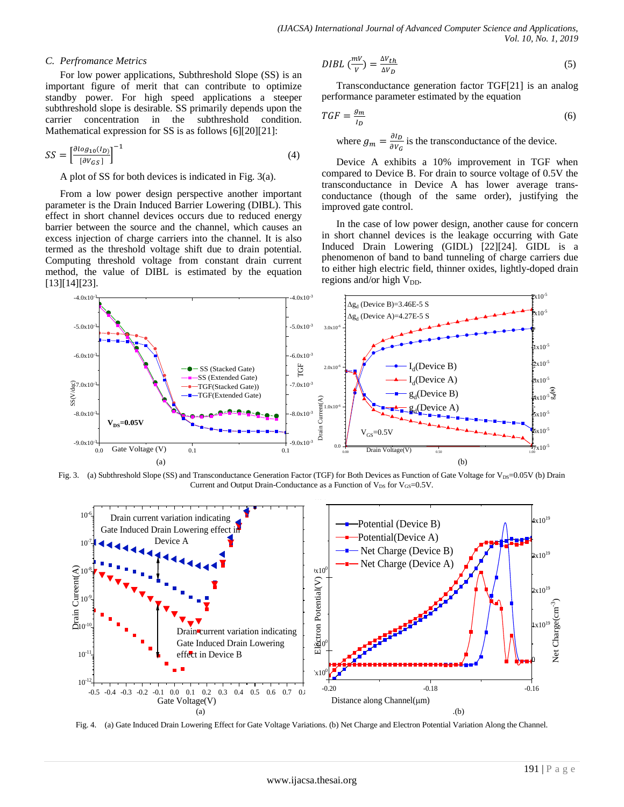### *C. Perfromance Metrics*

For low power applications, Subthreshold Slope (SS) is an important figure of merit that can contribute to optimize standby power. For high speed applications a steeper subthreshold slope is desirable. SS primarily depends upon the carrier concentration in the subthreshold condition. Mathematical expression for SS is as follows [6][20][21]:

$$
SS = \left[\frac{\partial \log_{10}(I_D)}{\left[\partial V_{GS}\right]}\right]^{-1} \tag{4}
$$

A plot of SS for both devices is indicated in Fig. 3(a).

From a low power design perspective another important parameter is the Drain Induced Barrier Lowering (DIBL). This effect in short channel devices occurs due to reduced energy barrier between the source and the channel, which causes an excess injection of charge carriers into the channel. It is also termed as the threshold voltage shift due to drain potential. Computing threshold voltage from constant drain current method, the value of DIBL is estimated by the equation [13][14][23].

$$
DIBL\left(\frac{mV}{V}\right) = \frac{\Delta V_{th}}{\Delta V_D} \tag{5}
$$

Transconductance generation factor TGF[21] is an analog performance parameter estimated by the equation

$$
TGF = \frac{g_m}{I_D} \tag{6}
$$

where  $g_m = \frac{\partial}{\partial x}$  $\frac{\partial T_B}{\partial v_G}$  is the transconductance of the device.

Device A exhibits a 10% improvement in TGF when compared to Device B. For drain to source voltage of 0.5V the transconductance in Device A has lower average transconductance (though of the same order), justifying the improved gate control.

In the case of low power design, another cause for concern in short channel devices is the leakage occurring with Gate Induced Drain Lowering (GIDL) [22][24]. GIDL is a phenomenon of band to band tunneling of charge carriers due to either high electric field, thinner oxides, lightly-doped drain regions and/or high  $V_{DD}$ .



Fig. 3. (a) Subthreshold Slope (SS) and Transconductance Generation Factor (TGF) for Both Devices as Function of Gate Voltage for V<sub>DS</sub>=0.05V (b) Drain Current and Output Drain-Conductance as a Function of  $V_{DS}$  for  $V_{GS}=0.5V$ .



Fig. 4. (a) Gate Induced Drain Lowering Effect for Gate Voltage Variations. (b) Net Charge and Electron Potential Variation Along the Channel.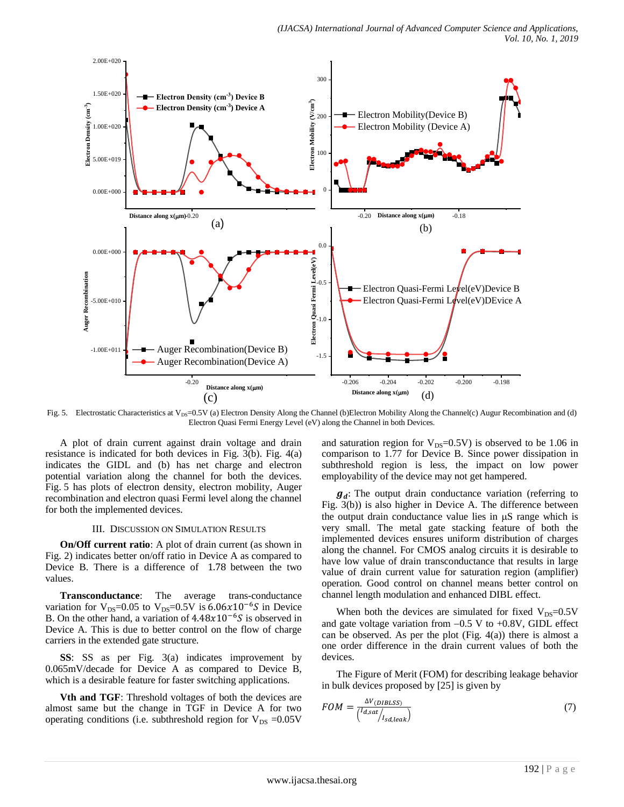

Fig. 5. Electrostatic Characteristics at V<sub>DS</sub>=0.5V (a) Electron Density Along the Channel (b)Electron Mobility Along the Channel(c) Augur Recombination and (d) Electron Quasi Fermi Energy Level (eV) along the Channel in both Devices.

A plot of drain current against drain voltage and drain resistance is indicated for both devices in Fig. 3(b). Fig. 4(a) indicates the GIDL and (b) has net charge and electron potential variation along the channel for both the devices. Fig. 5 has plots of electron density, electron mobility, Auger recombination and electron quasi Fermi level along the channel for both the implemented devices.

#### III. DISCUSSION ON SIMULATION RESULTS

**On/Off current ratio**: A plot of drain current (as shown in Fig. 2) indicates better on/off ratio in Device A as compared to Device B. There is a difference of 1.78 between the two values.

**Transconductance**: The average trans-conductance variation for  $V_{DS}=0.05$  to  $V_{DS}=0.5V$  is  $6.06x10^{-6}S$  in Device B. On the other hand, a variation of  $4.48x10^{-6}$ S is observed in Device A. This is due to better control on the flow of charge carriers in the extended gate structure.

**SS**: SS as per Fig. 3(a) indicates improvement by 0.065mV/decade for Device A as compared to Device B, which is a desirable feature for faster switching applications.

**Vth and TGF**: Threshold voltages of both the devices are almost same but the change in TGF in Device A for two operating conditions (i.e. subthreshold region for  $V_{DS} = 0.05V$  and saturation region for  $V_{DS}=0.5V$  is observed to be 1.06 in comparison to 1.77 for Device B. Since power dissipation in subthreshold region is less, the impact on low power employability of the device may not get hampered.

 $g_d$ : The output drain conductance variation (referring to Fig. 3(b)) is also higher in Device A. The difference between the output drain conductance value lies in  $\mu$ S range which is very small. The metal gate stacking feature of both the implemented devices ensures uniform distribution of charges along the channel. For CMOS analog circuits it is desirable to have low value of drain transconductance that results in large value of drain current value for saturation region (amplifier) operation. Good control on channel means better control on channel length modulation and enhanced DIBL effect.

When both the devices are simulated for fixed  $V_{DS}=0.5V$ and gate voltage variation from  $-0.5$  V to  $+0.8V$ , GIDL effect can be observed. As per the plot  $(Fig. 4(a))$  there is almost a one order difference in the drain current values of both the devices.

The Figure of Merit (FOM) for describing leakage behavior in bulk devices proposed by [25] is given by

$$
FOM = \frac{\Delta V_{(DIBLSS)}}{\binom{I_{d,sat}}{I_{sd,leak}}}
$$
\n<sup>(7)</sup>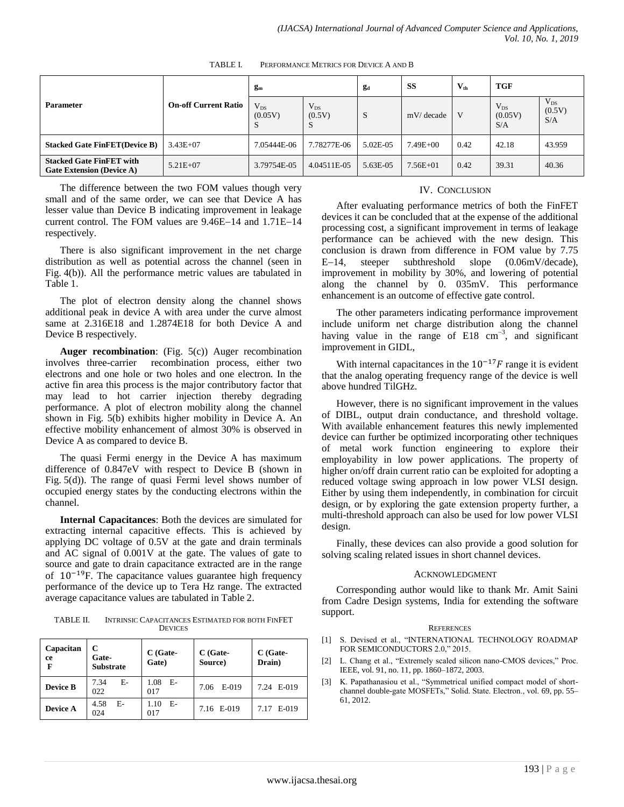| <b>Parameter</b>                                                    | <b>On-off Current Ratio</b> | g <sub>m</sub>            |                          | gd       | SS           | $V_{th}$ | TGF                        |                           |
|---------------------------------------------------------------------|-----------------------------|---------------------------|--------------------------|----------|--------------|----------|----------------------------|---------------------------|
|                                                                     |                             | $V_{DS}$<br>(0.05V)<br>C. | $V_{DS}$<br>(0.5V)<br>D. | S        | mV/decade    | V        | $V_{DS}$<br>(0.05V)<br>S/A | $V_{DS}$<br>(0.5V)<br>S/A |
| <b>Stacked Gate FinFET</b> (Device B)                               | $3.43E + 07$                | 7.05444E-06               | 7.78277E-06              | 5.02E-05 | 7.49E+00     | 0.42     | 42.18                      | 43.959                    |
| <b>Stacked Gate FinFET with</b><br><b>Gate Extension (Device A)</b> | $5.21E + 07$                | 3.79754E-05               | 4.04511E-05              | 5.63E-05 | $7.56E + 01$ | 0.42     | 39.31                      | 40.36                     |

TABLE I. PERFORMANCE METRICS FOR DEVICE A AND B

The difference between the two FOM values though very small and of the same order, we can see that Device A has lesser value than Device B indicating improvement in leakage current control. The FOM values are  $9.46E-14$  and  $1.71E-14$ respectively.

There is also significant improvement in the net charge distribution as well as potential across the channel (seen in Fig. 4(b)). All the performance metric values are tabulated in Table 1.

The plot of electron density along the channel shows additional peak in device A with area under the curve almost same at 2.316E18 and 1.2874E18 for both Device A and Device B respectively.

**Auger recombination**: (Fig. 5(c)) Auger recombination involves three-carrier recombination process, either two electrons and one hole or two holes and one electron. In the active fin area this process is the major contributory factor that may lead to hot carrier injection thereby degrading performance. A plot of electron mobility along the channel shown in Fig. 5(b) exhibits higher mobility in Device A. An effective mobility enhancement of almost 30% is observed in Device A as compared to device B.

The quasi Fermi energy in the Device A has maximum difference of 0.847eV with respect to Device B (shown in Fig. 5(d)). The range of quasi Fermi level shows number of occupied energy states by the conducting electrons within the channel.

**Internal Capacitances**: Both the devices are simulated for extracting internal capacitive effects. This is achieved by applying DC voltage of 0.5V at the gate and drain terminals and AC signal of 0.001V at the gate. The values of gate to source and gate to drain capacitance extracted are in the range of  $10^{-19}$ F. The capacitance values guarantee high frequency performance of the device up to Tera Hz range. The extracted average capacitance values are tabulated in Table 2.

TABLE II. INTRINSIC CAPACITANCES ESTIMATED FOR BOTH FINFET **DEVICES** 

| Capacitan<br>ce<br>F | С<br>Gate-<br><b>Substrate</b> | $C$ (Gate-<br>Gate) | $C$ (Gate-<br>Source) | $C$ (Gate-<br>Drain) |  |
|----------------------|--------------------------------|---------------------|-----------------------|----------------------|--|
| <b>Device B</b>      | $E-$<br>7.34<br>022            | $1.08$ E-<br>017    | 7.06 E-019            | 7.24 E-019           |  |
| Device A             | $E-$<br>4.58<br>024            | - E-<br>1.10<br>017 | 7.16 E-019            | 7.17 E-019           |  |

## IV. CONCLUSION

After evaluating performance metrics of both the FinFET devices it can be concluded that at the expense of the additional processing cost, a significant improvement in terms of leakage performance can be achieved with the new design. This conclusion is drawn from difference in FOM value by 7.75 E-14, steeper subthreshold slope (0.06mV/decade), improvement in mobility by 30%, and lowering of potential along the channel by 0. 035mV. This performance enhancement is an outcome of effective gate control.

The other parameters indicating performance improvement include uniform net charge distribution along the channel having value in the range of  $E18 \text{ cm}^{-3}$ , and significant improvement in GIDL,

With internal capacitances in the  $10^{-17}F$  range it is evident that the analog operating frequency range of the device is well above hundred TilGHz.

However, there is no significant improvement in the values of DIBL, output drain conductance, and threshold voltage. With available enhancement features this newly implemented device can further be optimized incorporating other techniques of metal work function engineering to explore their employability in low power applications. The property of higher on/off drain current ratio can be exploited for adopting a reduced voltage swing approach in low power VLSI design. Either by using them independently, in combination for circuit design, or by exploring the gate extension property further, a multi-threshold approach can also be used for low power VLSI design.

Finally, these devices can also provide a good solution for solving scaling related issues in short channel devices.

#### ACKNOWLEDGMENT

Corresponding author would like to thank Mr. Amit Saini from Cadre Design systems, India for extending the software support.

#### **REFERENCES**

- [1] S. Devised et al., "INTERNATIONAL TECHNOLOGY ROADMAP FOR SEMICONDUCTORS 2.0," 2015.
- [2] L. Chang et al., "Extremely scaled silicon nano-CMOS devices," Proc. IEEE, vol. 91, no. 11, pp. 1860–1872, 2003.
- [3] K. Papathanasiou et al., "Symmetrical unified compact model of shortchannel double-gate MOSFETs," Solid. State. Electron., vol. 69, pp. 55– 61, 2012.